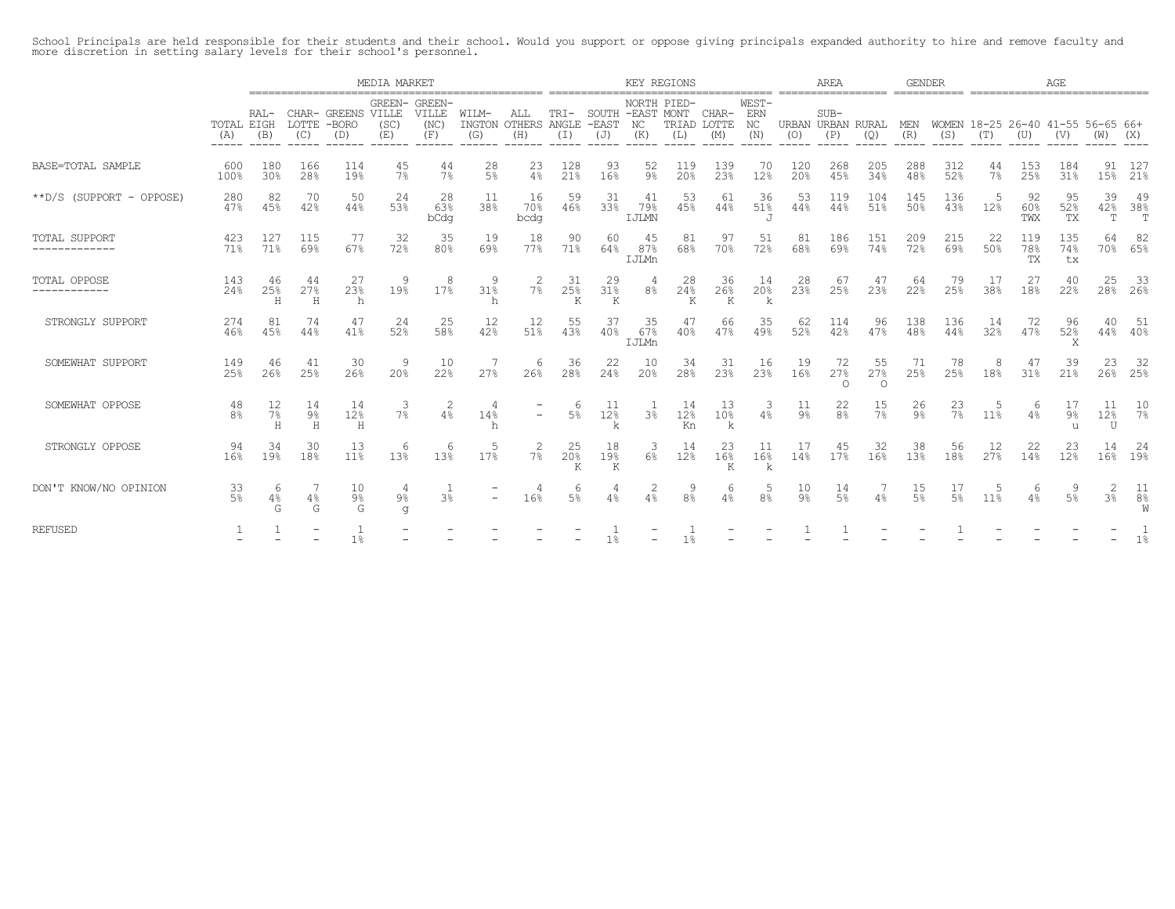School Principals are held responsible for their students and their school. Would you support or oppose giving principals expanded authority to hire and remove faculty and<br>more discretion in setting salary levels for their

|                                    |                      |                 |                          |                                      | MEDIA MARKET                 |                      |                          |                          |                                    |                                     | KEY REGIONS              |                     |                             |                           |                          | AREA                 |                                   | <b>GENDER</b>  |                                          |             |                  | AGE               |                     |                |
|------------------------------------|----------------------|-----------------|--------------------------|--------------------------------------|------------------------------|----------------------|--------------------------|--------------------------|------------------------------------|-------------------------------------|--------------------------|---------------------|-----------------------------|---------------------------|--------------------------|----------------------|-----------------------------------|----------------|------------------------------------------|-------------|------------------|-------------------|---------------------|----------------|
|                                    | TOTAL EIGH<br>(A)    | RAL-<br>(B)     | LOTTE<br>(C)             | CHAR- GREENS VILLE<br>$-BORO$<br>(D) | GREEN- GREEN-<br>(SC)<br>(E) | VILLE<br>(NC)<br>(F) | WILM-<br>INGTON<br>(G)   | ALL<br>OTHERS<br>(H)     | $TRT -$<br>ANGLE<br>$(\mathbb{I})$ | SOUTH -EAST MONT<br>$-$ EAST<br>(J) | NORTH PIED-<br>NC<br>(K) | (L)                 | CHAR-<br>TRIAD LOTTE<br>(M) | WEST-<br>ERN<br>NC<br>(N) | URBAN URBAN RURAL<br>(O) | $SUB-$<br>(P)        | (Q)                               | MEN<br>(R)     | WOMEN 18-25 26-40 41-55 56-65 66+<br>(S) | (T)         | (U)              | (V)               | (W)                 | (X)            |
| BASE=TOTAL SAMPLE                  | 600<br>100%          | 180<br>30%      | 166<br>28%               | 114<br>19%                           | 45<br>7%                     | 44<br>7%             | 28<br>5 <sup>°</sup>     | 23<br>4%                 | 128<br>21%                         | 93<br>16%                           | 52<br>$9\%$              | 119<br>20%          | 139<br>23%                  | 70<br>12%                 | 120<br>20%               | 268<br>45%           | 205<br>34%                        | 288<br>48%     | 312<br>52%                               | 44<br>$7\%$ | 153<br>25%       | 184<br>31%        | 91<br>15%           | - 127<br>21%   |
| **D/S (SUPPORT - OPPOSE)           | 280<br>47%           | 82<br>45%       | 70<br>42%                | -50<br>44%                           | 24<br>53%                    | 28<br>63%<br>bCdg    | 11<br>38%                | 16<br>70%<br>bcdg        | 59<br>46%                          | -31<br>33%                          | 41<br>79%<br>IJLMN       | 53<br>45%           | 61<br>44%                   | 36<br>51%<br>$\mathbf{J}$ | -53<br>44%               | 119<br>44%           | 104<br>51%                        | 145<br>50%     | 136<br>43%                               | .5<br>12%   | 92<br>60%<br>TWX | 95<br>52%<br>TX   | 39<br>42%<br>T      | 49<br>38%<br>T |
| <b>TOTAL SUPPORT</b><br>. <u>.</u> | 423<br>71%           | 127<br>71%      | 115<br>69%               | -77<br>67%                           | -32<br>72%                   | 35<br>80%            | 19<br>69%                | 18<br>77%                | 90<br>71%                          | -60<br>64%                          | 45<br>87%<br>IJLMn       | 81<br>68%           | 97<br>70%                   | 51<br>72%                 | 81<br>68%                | 186<br>69%           | 151<br>74%                        | 209<br>72%     | 215<br>69%                               | 22<br>50%   | 119<br>78%<br>TX | 135<br>74%<br>tx  | 64                  | -82<br>70% 65% |
| TOTAL OPPOSE<br>------------       | 143<br>2.4%          | 46<br>2.5%<br>Н | 44<br>27%<br>H           | 27<br>23%<br>h                       | 9<br>19%                     | 8<br>17%             | 31%<br>h                 | 2<br>$7\%$               | -31<br>25%<br>Κ                    | -29<br>31 <sup>°</sup><br>K         | 8 <sup>°</sup>           | 28<br>24%<br>K      | 36<br>26%<br>K              | 14<br>20%<br>k            | 28<br>23%                | 67<br>25%            | 47<br>23%                         | 64<br>22%      | 79<br>25%                                | -17<br>38%  | 27<br>18%        | 40<br>22%         | 25                  | -33<br>28% 26% |
| STRONGLY SUPPORT                   | 274<br>46%           | 81<br>45%       | 74<br>44%                | 47<br>41%                            | 24<br>52%                    | 25<br>58%            | 12<br>42%                | 12<br>51%                | 55<br>43%                          | .37<br>40%                          | 35<br>67%<br>IJLMn       | 47<br>40%           | 66<br>47%                   | 35<br>49%                 | -62<br>52%               | 114<br>42%           | 96<br>47%                         | 138<br>48%     | 136<br>44%                               | 14<br>32%   | 72<br>47%        | 96<br>52%         | 40.<br>$44\%$       | 40%            |
| SOMEWHAT SUPPORT                   | 149<br>25%           | 46<br>26%       | 41<br>2.5%               | 30<br>26%                            | 9<br>20 <sup>8</sup>         | 10<br>22%            | 27%                      | 6<br>26%                 | 36<br>28%                          | 22<br>24%                           | 10<br>20%                | 34<br>28%           | 31<br>23%                   | 16<br>23%                 | 19<br>16%                | 72<br>27%<br>∩       | 55<br>27 <sup>8</sup><br>$\Omega$ | 71<br>25%      | 78<br>25%                                | 18%         | 47<br>31%        | 39<br>21%         | 23                  | -32<br>26% 25% |
| SOMEWHAT OPPOSE                    | 48<br>8 <sup>°</sup> | 12<br>7%<br>Н   | 14<br>9%<br>Η            | 14<br>12%<br>Η                       | 3<br>7%                      | 2<br>4%              | 14%<br>h                 | $\overline{\phantom{0}}$ | 6<br>$5\%$                         | 11<br>12%<br>k                      | 3 <sup>°</sup>           | -14<br>12%<br>Kn    | 13<br>10%<br>k              | 3<br>4%                   | 11<br>$9\%$              | 22<br>8 <sup>°</sup> | $\frac{15}{7}$                    | $\frac{26}{9}$ | $^{23}_{78}$                             | 5<br>11%    | -6<br>4%         | 17<br>$9\%$<br>11 | 11<br>12%<br>U      | 10<br>$7\%$    |
| STRONGLY OPPOSE                    | 94<br>16%            | 34<br>19%       | 30<br>18%                | 13<br>11%                            | 6<br>13%                     | 6<br>13%             | .5<br>17%                | 2<br>$7\%$               | 25<br>20%                          | 18<br>19%<br>K                      | 3<br>6 <sup>°</sup>      | -14<br>12%          | 23<br>16%                   | -11<br>16%                | 17<br>14%                | 45<br>17%            | 32<br>16%                         | 38<br>13%      | 56<br>18%                                | 12<br>27%   | 22<br>14%        | 23<br>12%         | 14                  | 24<br>16% 19%  |
| DON'T KNOW/NO OPINION              | 33<br>$5\%$          | 6<br>$4\%$<br>G | $4\%$<br>G               | 10<br>୨%<br>G                        | 9%<br>α                      | 3 <sup>°</sup>       | $\overline{\phantom{0}}$ | 16%                      | $\epsilon$<br>5%                   | 4%                                  | 2<br>4%                  | 9<br>8 <sup>°</sup> | 6<br>4%                     | 8 <sup>°</sup>            | 10<br>$9\%$              | 14<br>5%             | 4%                                | 15<br>5%       | .5%                                      | 5<br>11%    | 6<br>4%          | 5%                | 2<br>3 <sup>°</sup> | -11<br>8%<br>W |
| <b>REFUSED</b>                     |                      |                 | $\overline{\phantom{a}}$ | 1 <sup>°</sup>                       |                              |                      |                          |                          |                                    | $1\%$                               |                          | 1 <sup>°</sup>      |                             |                           |                          |                      |                                   |                |                                          |             |                  |                   |                     | 1%             |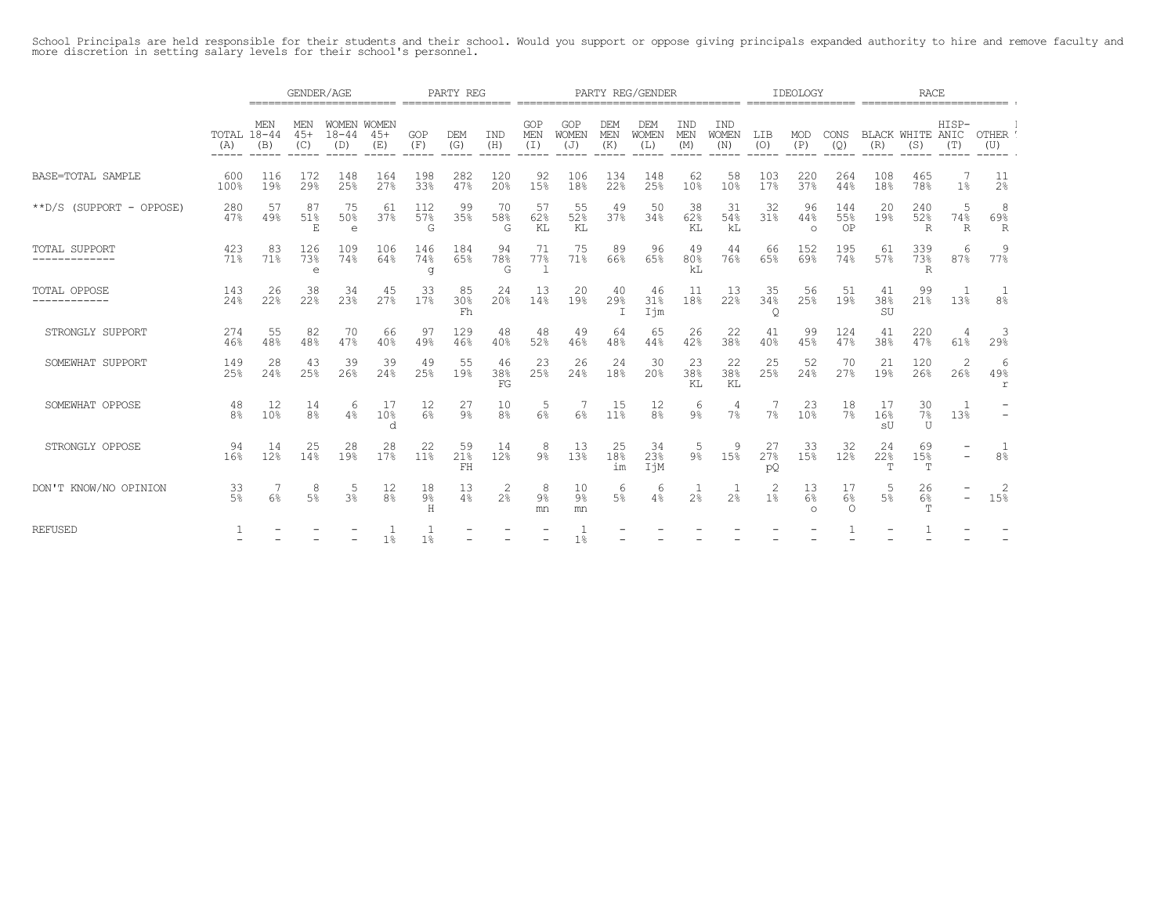School Principals are held responsible for their students and their school. Would you support or oppose giving principals expanded authority to hire and remove faculty and<br>more discretion in setting salary levels for their

|                                       |                             | GENDER/AGE           |                      |                                 |                       |                     | PARTY REG           |                      |                            |                              |                          | PARTY REG/GENDER                    |                   |                                     |                       | IDEOLOGY              |                        | RACE                             |                  |                              |                       |  |
|---------------------------------------|-----------------------------|----------------------|----------------------|---------------------------------|-----------------------|---------------------|---------------------|----------------------|----------------------------|------------------------------|--------------------------|-------------------------------------|-------------------|-------------------------------------|-----------------------|-----------------------|------------------------|----------------------------------|------------------|------------------------------|-----------------------|--|
|                                       | TOTAL 18-44<br>(A)<br>----- | MEN<br>(B)<br>------ | MEN<br>$45+$<br>(C)  | WOMEN WOMEN<br>$18 - 44$<br>(D) | $45+$<br>(E)<br>----- | GOP<br>(F)<br>----- | DEM<br>(G)<br>----- | IND<br>(H)<br>-----  | GOP<br>MEN<br>(I)<br>----- | GOP<br>WOMEN<br>(J)<br>----- | <b>DEM</b><br>MEN<br>(K) | <b>DEM</b><br>WOMEN<br>(L)<br>----- | IND<br>MEN<br>(M) | IND<br><b>WOMEN</b><br>(N)<br>----- | LIB<br>(0)<br>-----   | MOD<br>(P)<br>-----   | CONS<br>(Q)            | BLACK WHITE ANIC<br>(R)<br>----- | (S)              | HISP-<br>(T)<br>------ ----- | OTHER '<br>(U)        |  |
| BASE=TOTAL SAMPLE                     | 600<br>100%                 | 116<br>19%           | 172<br>29%           | 148<br>25%                      | 164<br>27%            | 198<br>33%          | 282<br>47%          | 120<br>20%           | 92<br>15%                  | 106<br>18%                   | 134<br>22%               | 148<br>25%                          | 62<br>10%         | 58<br>10%                           | 103<br>17%            | 220<br>37%            | 264<br>44%             | 108<br>18%                       | 465<br>78%       | 1 <sup>°</sup>               | -11<br>2 <sup>°</sup> |  |
| **D/S (SUPPORT - OPPOSE)              | 280<br>47%                  | -57<br>49%           | 87<br>51%<br>Е       | 75<br>50%<br>$\epsilon$         | -61<br>37%            | 112<br>57%<br>G     | -99<br>35%          | 70<br>58%<br>G       | 57<br>62%<br>KT.           | 55<br>52%<br>KL              | 49<br>37%                | 50<br>34%                           | -38<br>62%<br>KT. | 31<br>54%<br>kL                     | 32<br>31%             | 96<br>44%<br>$\circ$  | 144<br>55%<br>OP       | -20<br>19%                       | 240<br>52%<br>R  | .5<br>74%<br>R               | -8<br>69%<br>R        |  |
| <b>TOTAL SUPPORT</b><br>------------- | 423<br>71%                  | 83<br>71%            | 126<br>73%<br>e      | 109<br>74%                      | 106<br>64%            | 146<br>74%<br>g     | 184<br>65%          | 94<br>78%<br>G       | 71<br>77%                  | 75<br>71%                    | 89<br>66%                | 96<br>65%                           | 49<br>80%<br>kL   | 44<br>76%                           | 66<br>65%             | 152<br>69%            | 195<br>74%             | 61<br>57%                        | 339<br>73%<br>R  | 6<br>87%                     | 9<br>77%              |  |
| TOTAL OPPOSE<br>------------          | 143<br>24%                  | 26<br>22%            | 38<br>22%            | 34<br>23%                       | 45<br>27%             | 33<br>17%           | 85<br>30%<br>Fh     | 24<br>20%            | 13<br>14%                  | 20<br>19%                    | 40<br>29%<br>$\top$      | 46<br>31%<br>Ijm                    | 11<br>18%         | -13<br>22%                          | -35<br>34%<br>$\circ$ | 56<br>25%             | -51<br>19%             | 41<br>38%<br>SU                  | 99<br>21%        | 13%                          | 8 <sup>°</sup>        |  |
| STRONGLY SUPPORT                      | 274<br>46%                  | 55<br>48%            | 82<br>48%            | 70<br>47%                       | 66<br>40%             | 97<br>49%           | 129<br>46%          | 48<br>40%            | 48<br>52%                  | 49<br>46%                    | 64<br>48%                | 65<br>44%                           | 26<br>42%         | 22<br>38%                           | 41<br>40%             | 99<br>45%             | 124<br>47%             | 41<br>38%                        | 220<br>47%       | -4<br>61%                    | -3<br>29%             |  |
| SOMEWHAT SUPPORT                      | 149<br>25%                  | 28<br>24%            | 43<br>25%            | 39<br>26%                       | -39<br>24%            | 49<br>25%           | 55<br>19%           | 46<br>38%<br>FG      | 23<br>25%                  | 26<br>24%                    | 24<br>18%                | 30<br>20%                           | 23<br>38%<br>KL   | 22<br>38%<br>KL                     | -25<br>25%            | 52<br>24%             | 70<br>27%              | 21<br>19%                        | 120<br>26%       | 2<br>26%                     | -6<br>49%<br>r        |  |
| SOMEWHAT OPPOSE                       | 48<br>8 <sup>°</sup>        | 12<br>10%            | 14<br>8 <sup>°</sup> | 6<br>$4\%$                      | -17<br>10%<br>d       | 12<br>6%            | 27<br>9%            | 10<br>8 <sup>°</sup> | .5<br>6%                   | $6\%$                        | 15<br>11%                | 12<br>8 <sup>°</sup>                | -6<br>$9\%$       | $\overline{4}$<br>$7\%$             | 7%                    | 23<br>10 <sup>°</sup> | 18<br>7%               | -17<br>16%<br>sŪ                 | 30<br>7%<br>U    | 13%                          |                       |  |
| STRONGLY OPPOSE                       | 94<br>16%                   | 14<br>12%            | 25<br>14%            | 28<br>19%                       | 28<br>17%             | 22<br>11%           | 59<br>21%<br>FH     | 14<br>12%            | 8<br>9%                    | 13<br>13%                    | 25<br>18%<br>im          | 34<br>23%<br>IjM                    | 5<br>9%           | 9<br>15%                            | 27<br>27%<br>pQ       | 33<br>15%             | 32<br>12%              | 24<br>22%<br>T                   | 69<br>15%<br>Т   | $\overline{\phantom{a}}$     | 8 <sup>°</sup>        |  |
| DON'T KNOW/NO OPINION                 | 33<br>$5\%$                 | $6\%$                | 8<br>5%              | 5<br>.3%                        | 12<br>8 <sup>°</sup>  | 18<br>9%<br>Н       | 13<br>4%            | 2<br>2 <sup>°</sup>  | 8<br>9%<br>mn              | 10<br>9%<br>mn               | 6<br>$5\%$               | 6<br>4%                             | 2 <sup>°</sup>    | 2 <sup>°</sup>                      | 2<br>1 <sup>°</sup>   | 13<br>6%<br>$\cap$    | 17<br>$6\%$<br>$\circ$ | -5<br>5%                         | 26<br>$6\%$<br>T |                              | -2<br>15%             |  |
| <b>REFUSED</b>                        |                             |                      |                      |                                 | 1 <sup>°</sup>        | 1%                  |                     |                      |                            | 1 <sup>°</sup>               |                          |                                     |                   |                                     |                       |                       |                        |                                  |                  |                              |                       |  |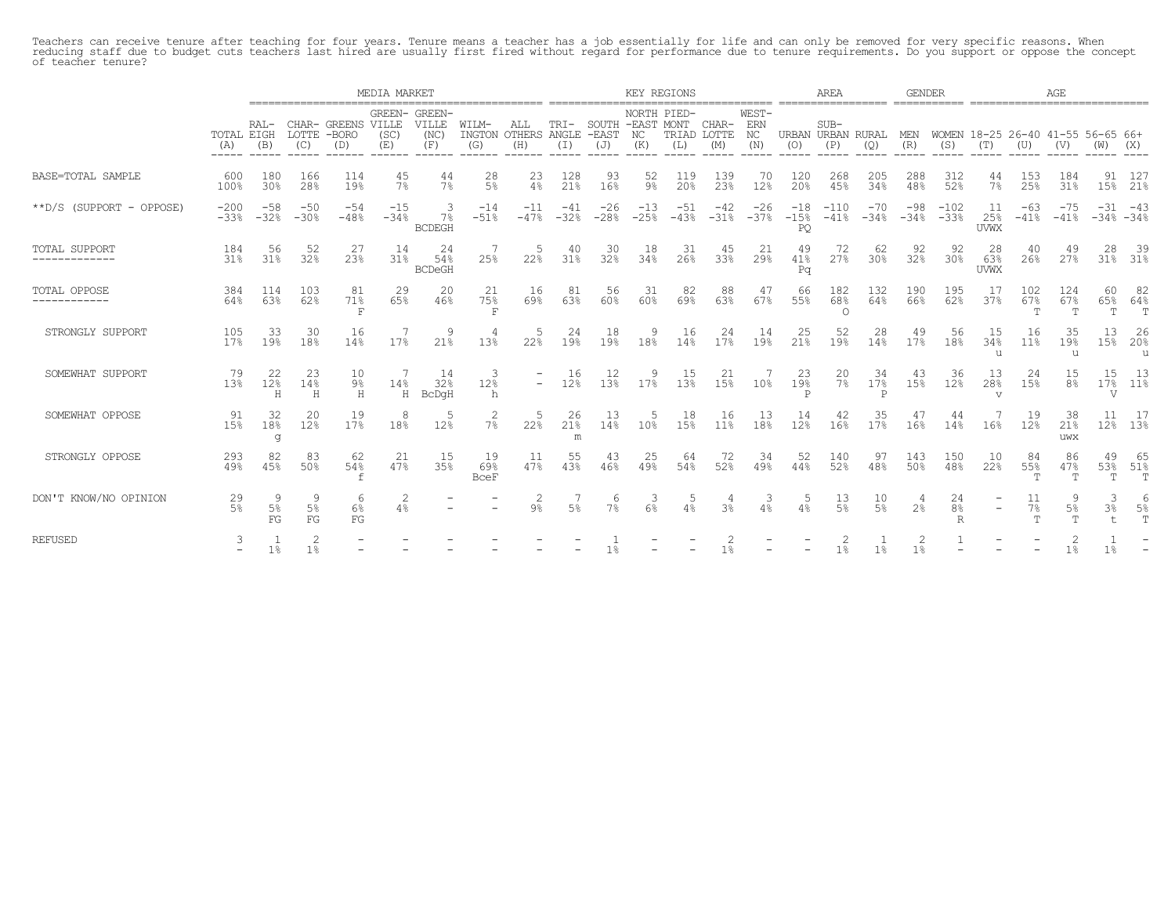Teachers can receive tenure after teaching for four years. Tenure means a teacher has a job essentially for life and can only be removed for very specific reasons. When<br>reducing staff due to budget cuts teachers last hired

|                                |                      |                 |                 |                                          | MEDIA MARKET    |                                       |                          |                            |                |                     | KEY REGIONS                                  |                 |                             |                           |                          | AREA                  |                 | <b>GENDER</b>   |                           |                                          |                            | AGE                       |                |                    |
|--------------------------------|----------------------|-----------------|-----------------|------------------------------------------|-----------------|---------------------------------------|--------------------------|----------------------------|----------------|---------------------|----------------------------------------------|-----------------|-----------------------------|---------------------------|--------------------------|-----------------------|-----------------|-----------------|---------------------------|------------------------------------------|----------------------------|---------------------------|----------------|--------------------|
|                                | TOTAL EIGH<br>(A)    | RAL-<br>(B)     | (C)             | CHAR- GREENS VILLE<br>LOTTE -BORO<br>(D) | (SC)<br>(E)     | GREEN- GREEN-<br>VILLE<br>(NC)<br>(F) | WILM-<br>INGTON<br>(G)   | ALL<br>OTHERS ANGLE<br>(H) | TRI-<br>(I)    | -EAST<br>(J)        | NORTH PIED-<br>SOUTH -EAST MONT<br>NC<br>(K) | (L)             | CHAR-<br>TRIAD LOTTE<br>(M) | WEST-<br>ERN<br>NC<br>(N) | URBAN URBAN RURAL<br>(O) | $SUB-$<br>(P)         | (Q)             | MEN<br>(R)      | (S)                       | WOMEN 18-25 26-40 41-55 56-65 66+<br>(T) | (U)                        | (V)                       |                | (X)                |
| BASE=TOTAL SAMPLE              | 600<br>100%          | 180<br>30%      | 166<br>28%      | 114<br>19%                               | 45<br>7%        | 44<br>7%                              | 28<br>5%                 | 23<br>4%                   | 128<br>21%     | 93<br>16%           | 52<br>$9\%$                                  | 119<br>20%      | 139<br>23%                  | 70<br>12%                 | 120<br>20%               | 268<br>45%            | 205<br>34%      | 288<br>48%      | 312<br>52%                | 44<br>7%                                 | 153<br>25%                 | 184<br>31%                | 91<br>15%      | 127<br>21%         |
| **D/S (SUPPORT - OPPOSE)       | $-200$<br>$-33%$     | $-58$<br>$-32%$ | $-50$<br>$-30%$ | $-54$<br>$-48%$                          | $-15$<br>$-34%$ | $7\%$<br><b>BCDEGH</b>                | $-14$<br>$-51%$          | $-11$<br>$-47%$            | -41<br>$-32%$  | $-26$<br>$-28%$     | $-13$<br>$-25%$                              | $-51$<br>$-43%$ | $-42$<br>$-31%$             | $-26$<br>$-37%$           | $-18$<br>$-15%$<br>PQ    | $-110$<br>$-41%$      | $-70$<br>$-34%$ | $-98$<br>$-34%$ | $-102$<br>$-33%$          | 11<br>25%<br><b>UVWX</b>                 | $-63$<br>$-41%$            | $-41%$                    | $-31$          | -43<br>$-34% -34%$ |
| TOTAL SUPPORT<br>------------- | 184<br>31%           | 56<br>31%       | 52<br>32%       | 27<br>23%                                | 14<br>31%       | 24<br>54%<br><b>BCDeGH</b>            | 25%                      | .5<br>22%                  | 40<br>31%      | -30<br>32%          | 18<br>34%                                    | 31<br>26%       | 45<br>33%                   | 21<br>29%                 | 49<br>41%<br>Pa          | 72<br>27%             | 62<br>30%       | 92<br>32%       | 92<br>30%                 | 28<br>63%<br><b>UVWX</b>                 | 40<br>26%                  | 49<br>27%                 | 28             | - 39<br>31% 31%    |
| TOTAL OPPOSE<br>------------   | 384<br>64%           | 114<br>63%      | 103<br>62%      | 81<br>71%<br>F                           | 29<br>65%       | 20<br>46%                             | 21<br>75%<br>F           | 16<br>69%                  | 81<br>63%      | 56<br>60%           | 31<br>60%                                    | 82<br>69%       | 88<br>63%                   | 47<br>67%                 | 66<br>55%                | 182<br>68%<br>$\circ$ | 132<br>64%      | 190<br>66%      | 195<br>62%                | 17<br>37%                                | 102<br>67%<br>$\mathbf{r}$ | 124<br>67%<br>ு           | 60<br>T        | 82<br>65% 64%<br>T |
| STRONGLY SUPPORT               | 105<br>17%           | 33<br>19%       | 30<br>18%       | 16<br>14%                                | 17%             | 9<br>21%                              | 13%                      | 5<br>22%                   | 24<br>19%      | 18<br>19%           | -9<br>18%                                    | 16<br>14%       | 24<br>17%                   | 14<br>19%                 | 25<br>21%                | 52<br>19%             | 28<br>14%       | 49<br>17%       | 56<br>18%                 | 15<br>34%<br>u                           | 16<br>11%                  | 35<br>19%<br>$\mathbf{u}$ | 13<br>15%      | 26<br>20%<br>u     |
| SOMEWHAT SUPPORT               | 79<br>13%            | 22<br>12%<br>Η  | 23<br>14%<br>H  | 10<br>9%<br>H                            | 14%<br>H        | 14<br>32%<br>BcDqH                    | 3<br>12%<br>h            | $\overline{\phantom{0}}$   | 16<br>12%      | 12<br>13%           | 9<br>17%                                     | 15<br>13%       | 21<br>15%                   | 10 <sup>°</sup>           | 23<br>19%<br>P           | 20<br>$7\%$           | 34<br>17%<br>P  | 43<br>15%       | -36<br>12%                | 13<br>28%<br>$\overline{v}$              | 24<br>15%                  | 15<br>8 <sup>°</sup>      | 15<br>V        | -13<br>17% 11%     |
| SOMEWHAT OPPOSE                | 91<br>15%            | 32<br>18%<br>q  | 20<br>12%       | 19<br>17%                                | 8<br>18%        | 5<br>12%                              | 2<br>7%                  | .5<br>22%                  | 26<br>21%<br>m | -13<br>14%          | -5<br>10%                                    | 18<br>15%       | 16<br>11%                   | -13<br>18%                | 14<br>12%                | 42<br>16%             | 35<br>17%       | 16%             | 44<br>14%                 | 16%                                      | 19<br>12%                  | 38<br>21%<br>uwx          |                | 12% 13%            |
| STRONGLY OPPOSE                | 293<br>49%           | 82<br>45%       | 83<br>50%       | 62<br>54%                                | 21<br>47%       | 15<br>35%                             | 19<br>69%<br><b>BceF</b> | -11<br>47%                 | 55<br>43%      | 43<br>46%           | 25<br>49%                                    | 64<br>54%       | 72<br>52%                   | 34<br>49%                 | 52<br>44%                | 140<br>52%            | 97<br>48%       | 143<br>50%      | 150<br>48%                | 10<br>22%                                | 84<br>55%                  | 86<br>47%<br>- m          | 49<br>53%<br>T | -65<br>51%<br>T    |
| DON'T KNOW/NO OPINION          | 29<br>5 <sup>°</sup> | $5\%$<br>FG     | 5%<br>FG        | 6<br>6%<br>FG                            | 4%              |                                       |                          | 2<br>$9\%$                 | 5 <sup>°</sup> | 6<br>7 <sup>°</sup> | -3<br>6%                                     | 5<br>4%         | 3 <sup>°</sup>              | 3<br>4%                   | 4%                       | 13<br>5%              | 10<br>5%        | 2 <sup>°</sup>  | 24<br>8 <sup>°</sup><br>R | $\overline{\phantom{a}}$                 | 11<br>$7\%$<br><b>TP</b>   | $5\%$<br><u>т</u>         | 3<br>3%        | $5\%$<br>T         |
| <b>REFUSED</b>                 |                      | 1 <sup>°</sup>  | 1%              |                                          |                 |                                       |                          |                            |                |                     |                                              |                 | 1%                          |                           |                          | 1 <sup>°</sup>        | 1%              | 1 <sub>8</sub>  |                           |                                          |                            | 1 <sup>°</sup>            | $1\%$          |                    |